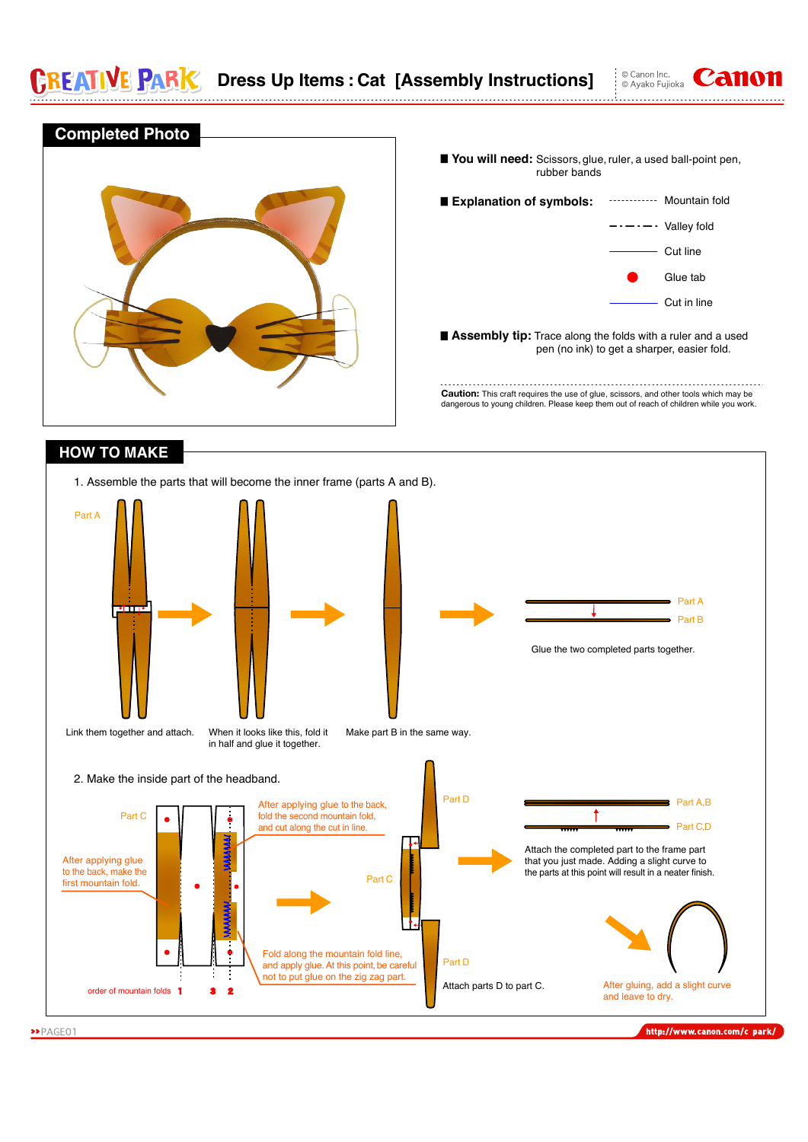E PAR

Link them together and attach.

≖





Make part B in the same way.

When it looks like this, fold it in half and glue it together.

»PAGE01

http://www.canon.com/c park/

Part A  $\blacksquare$  Part B

© Canon Inc<br>© Ayako Fujioka

Glue the two completed parts together.